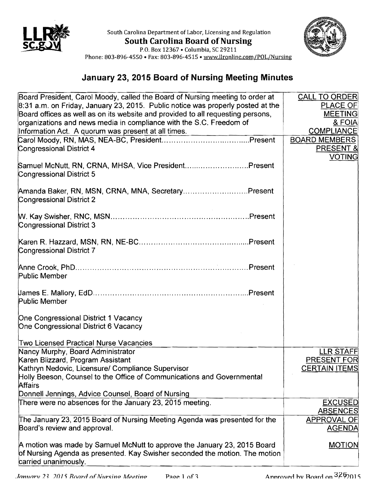

South Carolina Department of Labor, Licensing and Regulation **South Carolina Board of Nursing** 



p.o. Box 12367 • Columbia, SC 29211 Phone: 803-896-4550 • Fax: 803-896-4515 • www.llronline.com/POL/Nursing

## **January 23, 2015 Board of Nursing Meeting Minutes**

| Board President, Carol Moody, called the Board of Nursing meeting to order at          | <b>CALL TO ORDER</b>                       |
|----------------------------------------------------------------------------------------|--------------------------------------------|
| 8:31 a.m. on Friday, January 23, 2015. Public notice was properly posted at the        | <b>PLACE OF</b>                            |
| Board offices as well as on its website and provided to all requesting persons,        | <b>MEETING</b>                             |
| organizations and news media in compliance with the S.C. Freedom of                    | & FOIA                                     |
| Information Act. A quorum was present at all times.                                    | <b>COMPLIANCE</b>                          |
|                                                                                        | <b>BOARD MEMBERS</b>                       |
| Congressional District 4                                                               | PRESENT &                                  |
|                                                                                        | <b>VOTING</b>                              |
| Samuel McNutt, RN, CRNA, MHSA, Vice PresidentPresent                                   |                                            |
| Congressional District 5                                                               |                                            |
| Amanda Baker, RN, MSN, CRNA, MNA, SecretaryPresent                                     |                                            |
| Congressional District 2                                                               |                                            |
|                                                                                        |                                            |
|                                                                                        |                                            |
| Congressional District 3                                                               |                                            |
|                                                                                        |                                            |
|                                                                                        |                                            |
| <b>Congressional District 7</b>                                                        |                                            |
|                                                                                        |                                            |
| Public Member                                                                          |                                            |
|                                                                                        |                                            |
|                                                                                        |                                            |
| <b>Public Member</b>                                                                   |                                            |
|                                                                                        |                                            |
| One Congressional District 1 Vacancy                                                   |                                            |
| One Congressional District 6 Vacancy                                                   |                                            |
|                                                                                        |                                            |
| Two Licensed Practical Nurse Vacancies                                                 |                                            |
| Nancy Murphy, Board Administrator                                                      | <b>LLR STAFF</b>                           |
| Karen Blizzard, Program Assistant<br>Kathryn Nedovic, Licensure/ Compliance Supervisor | <b>PRESENT FOR</b><br><b>CERTAIN ITEMS</b> |
| Holly Beeson, Counsel to the Office of Communications and Governmental                 |                                            |
| <b>Affairs</b>                                                                         |                                            |
| Donnell Jennings, Advice Counsel, Board of Nursing                                     |                                            |
| There were no absences for the January 23, 2015 meeting.                               | <b>EXCUSED</b>                             |
|                                                                                        | <b>ABSENCES</b>                            |
| The January 23, 2015 Board of Nursing Meeting Agenda was presented for the             | APPROVAL OF                                |
| Board's review and approval.                                                           | <b>AGENDA</b>                              |
|                                                                                        |                                            |
| A motion was made by Samuel McNutt to approve the January 23, 2015 Board               | <b>MOTION</b>                              |
| of Nursing Agenda as presented. Kay Swisher seconded the motion. The motion            |                                            |
| carried unanimously.                                                                   |                                            |
|                                                                                        |                                            |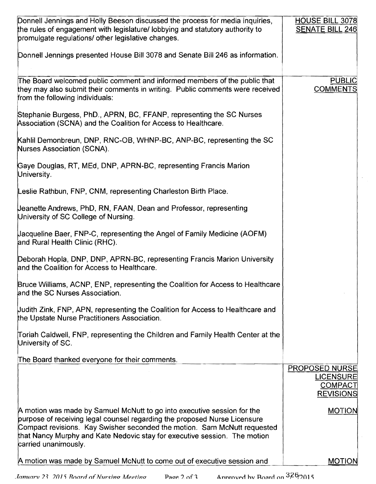| Donnell Jennings and Holly Beeson discussed the process for media inquiries,<br>the rules of engagement with legislature/ lobbying and statutory authority to<br>promulgate regulations/ other legislative changes.                                                                                                                   | <b>HOUSE BILL 3078</b><br><b>SENATE BILL 246</b>                                |
|---------------------------------------------------------------------------------------------------------------------------------------------------------------------------------------------------------------------------------------------------------------------------------------------------------------------------------------|---------------------------------------------------------------------------------|
| Donnell Jennings presented House Bill 3078 and Senate Bill 246 as information.                                                                                                                                                                                                                                                        |                                                                                 |
| The Board welcomed public comment and informed members of the public that<br>they may also submit their comments in writing. Public comments were received<br>from the following individuals:                                                                                                                                         | <b>PUBLIC</b><br><b>COMMENTS</b>                                                |
| Stephanie Burgess, PhD., APRN, BC, FFANP, representing the SC Nurses<br>Association (SCNA) and the Coalition for Access to Healthcare.                                                                                                                                                                                                |                                                                                 |
| Kahlil Demonbreun, DNP, RNC-OB, WHNP-BC, ANP-BC, representing the SC<br>Nurses Association (SCNA).                                                                                                                                                                                                                                    |                                                                                 |
| Gaye Douglas, RT, MEd, DNP, APRN-BC, representing Francis Marion<br>University.                                                                                                                                                                                                                                                       |                                                                                 |
| Leslie Rathbun, FNP, CNM, representing Charleston Birth Place.                                                                                                                                                                                                                                                                        |                                                                                 |
| Jeanette Andrews, PhD, RN, FAAN, Dean and Professor, representing<br>University of SC College of Nursing.                                                                                                                                                                                                                             |                                                                                 |
| Uacqueline Baer, FNP-C, representing the Angel of Family Medicine (AOFM)<br>and Rural Health Clinic (RHC).                                                                                                                                                                                                                            |                                                                                 |
| Deborah Hopla, DNP, DNP, APRN-BC, representing Francis Marion University<br>and the Coalition for Access to Healthcare.                                                                                                                                                                                                               |                                                                                 |
| Bruce Williams, ACNP, ENP, representing the Coalition for Access to Healthcare<br>and the SC Nurses Association.                                                                                                                                                                                                                      |                                                                                 |
| Uudith Zink, FNP, APN, representing the Coalition for Access to Healthcare and<br>the Upstate Nurse Practitioners Association.                                                                                                                                                                                                        |                                                                                 |
| Toriah Caldwell, FNP, representing the Children and Family Health Center at the<br>University of SC.                                                                                                                                                                                                                                  |                                                                                 |
| The Board thanked everyone for their comments.                                                                                                                                                                                                                                                                                        |                                                                                 |
|                                                                                                                                                                                                                                                                                                                                       | <b>PROPOSED NURSE</b><br><b>LICENSURE</b><br><b>COMPACT</b><br><b>REVISIONS</b> |
| A motion was made by Samuel McNutt to go into executive session for the<br>purpose of receiving legal counsel regarding the proposed Nurse Licensure<br>Compact revisions. Kay Swisher seconded the motion. Sam McNutt requested<br>that Nancy Murphy and Kate Nedovic stay for executive session. The motion<br>carried unanimously. | <b>MOTION</b>                                                                   |
| A motion was made by Samuel McNutt to come out of executive session and                                                                                                                                                                                                                                                               | <b>MOTION</b>                                                                   |